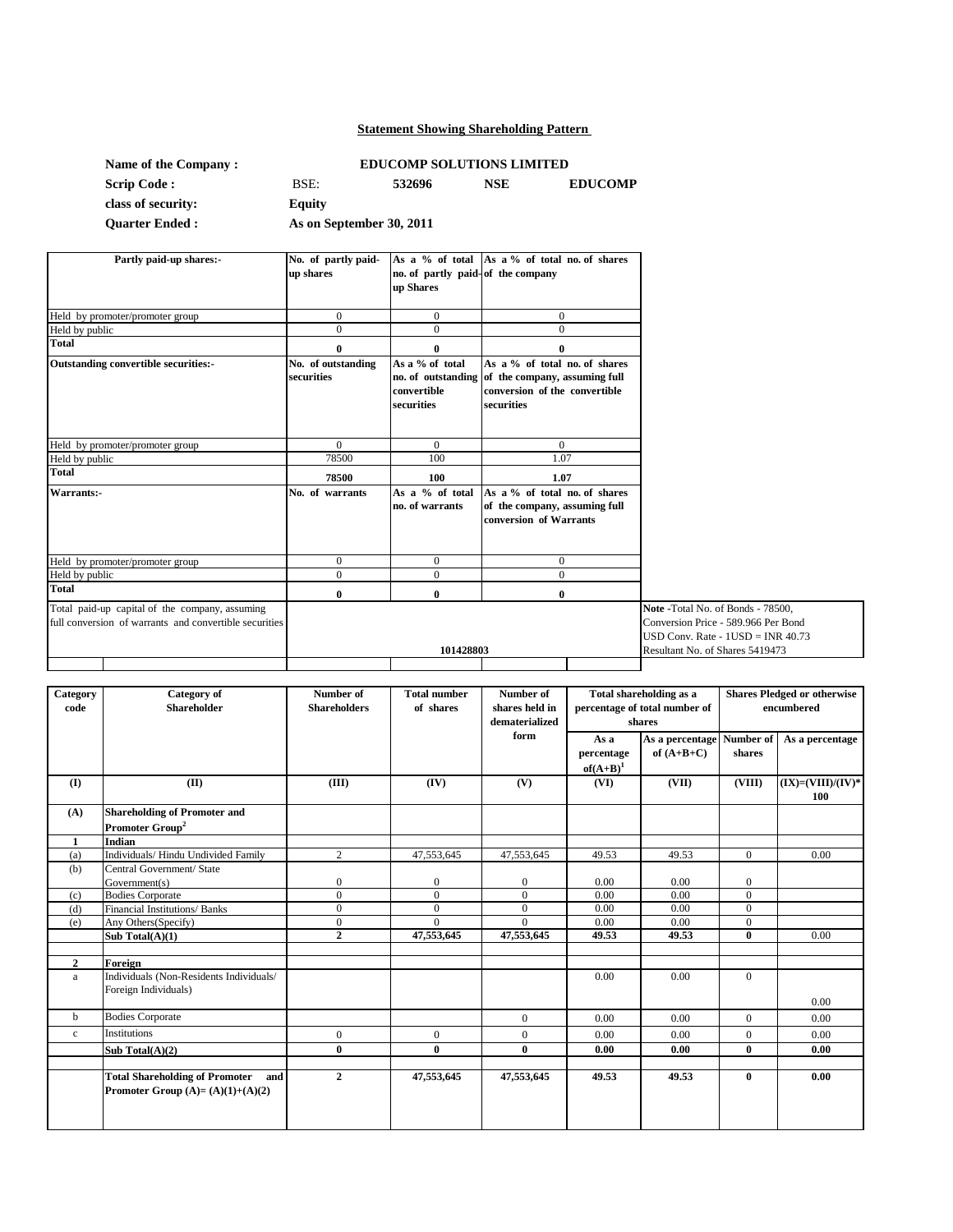# **Statement Showing Shareholding Pattern**

| Name of the Company:  |                          | <b>EDUCOMP SOLUTIONS LIMITED</b> |            |                |
|-----------------------|--------------------------|----------------------------------|------------|----------------|
| <b>Scrip Code :</b>   | BSE:                     | 532696                           | <b>NSE</b> | <b>EDUCOMP</b> |
| class of security:    | Equity                   |                                  |            |                |
| <b>Quarter Ended:</b> | As on September 30, 2011 |                                  |            |                |

| Partly paid-up shares:-                                                                                  | No. of partly paid-<br>up shares | no. of partly paid-of the company<br>up Shares | As a % of total As a % of total no. of shares                                                                                    |                                                                                                                   |
|----------------------------------------------------------------------------------------------------------|----------------------------------|------------------------------------------------|----------------------------------------------------------------------------------------------------------------------------------|-------------------------------------------------------------------------------------------------------------------|
| Held by promoter/promoter group                                                                          | $\Omega$                         | $\mathbf{0}$                                   | $\mathbf{0}$                                                                                                                     |                                                                                                                   |
| Held by public                                                                                           | $\Omega$                         | $\Omega$                                       | $\theta$                                                                                                                         |                                                                                                                   |
| <b>Total</b>                                                                                             | 0                                | 0                                              | 0                                                                                                                                |                                                                                                                   |
| <b>Outstanding convertible securities:-</b>                                                              | No. of outstanding<br>securities | As a % of total<br>convertible<br>securities   | As a % of total no. of shares<br>no. of outstanding of the company, assuming full<br>conversion of the convertible<br>securities |                                                                                                                   |
| Held by promoter/promoter group                                                                          | $\Omega$                         | $\Omega$                                       | $\Omega$                                                                                                                         |                                                                                                                   |
| Held by public                                                                                           | 78500                            | 100                                            | 1.07                                                                                                                             |                                                                                                                   |
| <b>Total</b>                                                                                             | 78500                            | 100                                            | 1.07                                                                                                                             |                                                                                                                   |
| Warrants:-                                                                                               | No. of warrants                  | As a % of total<br>no. of warrants             | As a % of total no. of shares<br>of the company, assuming full<br>conversion of Warrants                                         |                                                                                                                   |
| Held by promoter/promoter group                                                                          | $\overline{0}$                   | $\overline{0}$                                 | $\mathbf{0}$                                                                                                                     |                                                                                                                   |
| Held by public                                                                                           | $\overline{0}$                   | $\overline{0}$                                 | $\overline{0}$                                                                                                                   |                                                                                                                   |
| <b>Total</b>                                                                                             | $\bf{0}$                         | 0                                              | $\bf{0}$                                                                                                                         |                                                                                                                   |
| Total paid-up capital of the company, assuming<br>full conversion of warrants and convertible securities |                                  |                                                |                                                                                                                                  | Note - Total No. of Bonds - 78500,<br>Conversion Price - 589.966 Per Bond<br>USD Conv. Rate - $1$ USD = INR 40.73 |
|                                                                                                          |                                  | 101428803                                      |                                                                                                                                  | Resultant No. of Shares 5419473                                                                                   |

| Category       | Category of                                  | Number of           | <b>Total number</b> | Number of      | Total shareholding as a<br>percentage of total number of<br>shares |                           | <b>Shares Pledged or otherwise</b> |                        |
|----------------|----------------------------------------------|---------------------|---------------------|----------------|--------------------------------------------------------------------|---------------------------|------------------------------------|------------------------|
| code           | <b>Shareholder</b>                           | <b>Shareholders</b> | of shares           | shares held in |                                                                    |                           |                                    | encumbered             |
|                |                                              |                     |                     | dematerialized |                                                                    |                           |                                    |                        |
|                |                                              |                     |                     | form           | As a                                                               | As a percentage Number of |                                    | As a percentage        |
|                |                                              |                     |                     |                | percentage                                                         | of $(A+B+C)$              | shares                             |                        |
|                |                                              |                     |                     |                | $of(A+B)^1$                                                        |                           |                                    |                        |
| $\mathbf{I}$   | (II)                                         | (III)               | (IV)                | (V)            | (VI)                                                               | (VII)                     | (VIII)                             | $(IX) = (VIII)/(IV)^*$ |
|                |                                              |                     |                     |                |                                                                    |                           |                                    | 100                    |
| (A)            | <b>Shareholding of Promoter and</b>          |                     |                     |                |                                                                    |                           |                                    |                        |
|                | Promoter Group <sup>2</sup>                  |                     |                     |                |                                                                    |                           |                                    |                        |
| $\mathbf{1}$   | Indian                                       |                     |                     |                |                                                                    |                           |                                    |                        |
| (a)            | Individuals/ Hindu Undivided Family          | $\overline{2}$      | 47,553,645          | 47,553,645     | 49.53                                                              | 49.53                     | $\mathbf{0}$                       | 0.00                   |
| (b)            | Central Government/ State                    |                     |                     |                |                                                                    |                           |                                    |                        |
|                | Government(s)                                | $\mathbf{0}$        | $\boldsymbol{0}$    | $\overline{0}$ | 0.00                                                               | 0.00                      | $\boldsymbol{0}$                   |                        |
| (c)            | <b>Bodies Corporate</b>                      | $\Omega$            | $\theta$            | $\Omega$       | 0.00                                                               | 0.00                      | $\mathbf{0}$                       |                        |
| (d)            | Financial Institutions/ Banks                | $\Omega$            | $\Omega$            | $\Omega$       | 0.00                                                               | 0.00                      | $\mathbf{0}$                       |                        |
| (e)            | Any Others(Specify)                          | $\overline{0}$      | $\Omega$            | $\Omega$       | 0.00                                                               | 0.00                      | $\mathbf{0}$                       |                        |
|                | Sub Total(A)(1)                              | $\mathbf{2}$        | 47,553,645          | 47,553,645     | 49.53                                                              | 49.53                     | $\bf{0}$                           | 0.00                   |
|                |                                              |                     |                     |                |                                                                    |                           |                                    |                        |
| $\overline{2}$ | Foreign                                      |                     |                     |                |                                                                    |                           |                                    |                        |
| a              | Individuals (Non-Residents Individuals/      |                     |                     |                | 0.00                                                               | 0.00                      | $\overline{0}$                     |                        |
|                | Foreign Individuals)                         |                     |                     |                |                                                                    |                           |                                    |                        |
|                |                                              |                     |                     |                |                                                                    |                           |                                    | 0.00                   |
| b              | <b>Bodies Corporate</b>                      |                     |                     | $\overline{0}$ | 0.00                                                               | 0.00                      | $\overline{0}$                     | 0.00                   |
| $\mathbf{c}$   | <b>Institutions</b>                          | $\overline{0}$      | $\mathbf{0}$        | $\overline{0}$ | 0.00                                                               | 0.00                      | $\mathbf{0}$                       | 0.00                   |
|                | Sub Total $(A)(2)$                           | $\mathbf{0}$        | $\mathbf{0}$        | $\mathbf{0}$   | 0.00                                                               | 0.00                      | $\mathbf{0}$                       | 0.00                   |
|                |                                              |                     |                     |                |                                                                    |                           |                                    |                        |
|                | <b>Total Shareholding of Promoter</b><br>and | $\overline{2}$      | 47,553,645          | 47,553,645     | 49.53                                                              | 49.53                     | $\bf{0}$                           | 0.00                   |
|                | Promoter Group $(A)=(A)(1)+(A)(2)$           |                     |                     |                |                                                                    |                           |                                    |                        |
|                |                                              |                     |                     |                |                                                                    |                           |                                    |                        |
|                |                                              |                     |                     |                |                                                                    |                           |                                    |                        |
|                |                                              |                     |                     |                |                                                                    |                           |                                    |                        |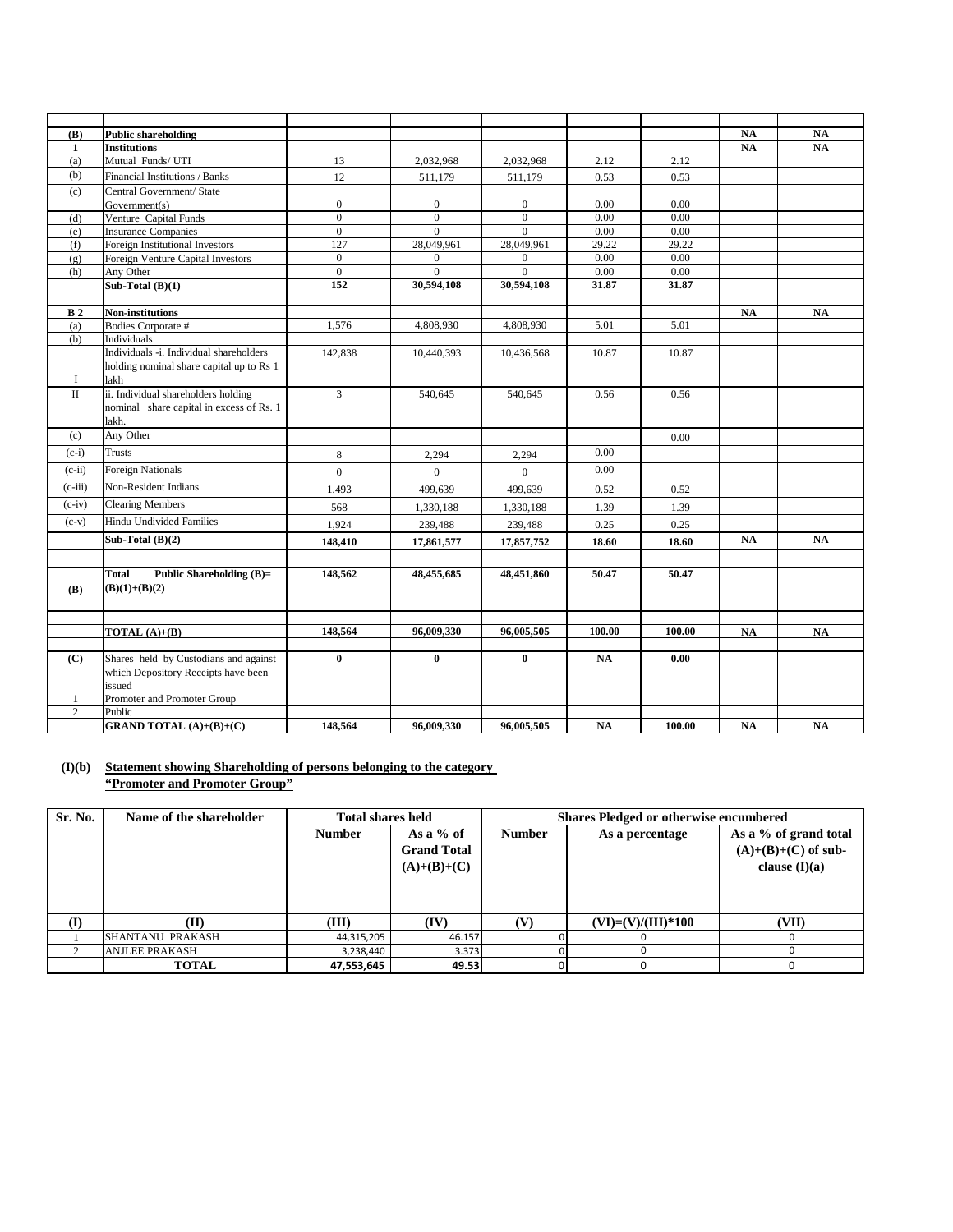| (B)            | <b>Public shareholding</b>               |                     |                          |                                |              |              | <b>NA</b> | <b>NA</b>     |
|----------------|------------------------------------------|---------------------|--------------------------|--------------------------------|--------------|--------------|-----------|---------------|
| 1              | <b>Institutions</b>                      |                     |                          |                                |              |              | <b>NA</b> | $\mathbf{NA}$ |
| (a)            | Mutual Funds/UTI                         | $\overline{13}$     | 2,032,968                | 2,032,968                      | 2.12         | 2.12         |           |               |
| (b)            | Financial Institutions / Banks           | 12                  | 511,179                  | 511,179                        | 0.53         | 0.53         |           |               |
| (c)            | Central Government/ State                |                     |                          |                                |              |              |           |               |
|                | Government(s)                            | $\mathbf{0}$        | $\mathbf{0}$             | $\mathbf{0}$                   | 0.00         | 0.00         |           |               |
| (d)            | Venture Capital Funds                    | $\overline{0}$      | $\overline{0}$           | $\overline{0}$                 | 0.00         | 0.00         |           |               |
| (e)            | <b>Insurance Companies</b>               | $\mathbf{0}$        | $\mathbf{0}$             | $\theta$                       | 0.00         | 0.00         |           |               |
| (f)            | Foreign Institutional Investors          | 127                 | 28,049,961               | 28,049,961                     | 29.22        | 29.22        |           |               |
| (g)            | Foreign Venture Capital Investors        | $\mathbf{0}$        | $\mathbf{0}$<br>$\theta$ | $\mathbf{0}$<br>$\overline{0}$ | 0.00<br>0.00 | 0.00<br>0.00 |           |               |
| (h)            | Any Other<br>Sub-Total $(B)(1)$          | $\mathbf{0}$<br>152 | 30.594.108               | 30,594,108                     | 31.87        | 31.87        |           |               |
|                |                                          |                     |                          |                                |              |              |           |               |
| B <sub>2</sub> | Non-institutions                         |                     |                          |                                |              |              | <b>NA</b> | $\mathbf{NA}$ |
| (a)            | Bodies Corporate #                       | 1.576               | 4,808,930                | 4,808,930                      | 5.01         | 5.01         |           |               |
| (b)            | Individuals                              |                     |                          |                                |              |              |           |               |
|                | Individuals -i. Individual shareholders  | 142,838             | 10,440,393               | 10,436,568                     | 10.87        | 10.87        |           |               |
|                | holding nominal share capital up to Rs 1 |                     |                          |                                |              |              |           |               |
| <b>I</b>       | lakh                                     |                     |                          |                                |              |              |           |               |
| $\rm II$       | ii. Individual shareholders holding      | 3                   | 540,645                  | 540,645                        | 0.56         | 0.56         |           |               |
|                | nominal share capital in excess of Rs. 1 |                     |                          |                                |              |              |           |               |
|                | lakh.                                    |                     |                          |                                |              |              |           |               |
| (c)            | Any Other                                |                     |                          |                                |              | 0.00         |           |               |
| $(c-i)$        | <b>Trusts</b>                            | 8                   | 2,294                    | 2,294                          | 0.00         |              |           |               |
| $(c-ii)$       | <b>Foreign Nationals</b>                 | $\overline{0}$      | $\mathbf{0}$             | $\mathbf{0}$                   | 0.00         |              |           |               |
| $(c$ -iii)     | <b>Non-Resident Indians</b>              | 1,493               | 499.639                  | 499,639                        | 0.52         | 0.52         |           |               |
| $(c-iv)$       | <b>Clearing Members</b>                  | 568                 | 1,330,188                | 1,330,188                      | 1.39         | 1.39         |           |               |
| $(c-v)$        | <b>Hindu Undivided Families</b>          | 1,924               | 239,488                  | 239,488                        | 0.25         | 0.25         |           |               |
|                | Sub-Total $(B)(2)$                       | 148,410             | 17,861,577               | 17,857,752                     | 18.60        | 18.60        | NA        | NA            |
|                |                                          |                     |                          |                                |              |              |           |               |
|                | Total<br><b>Public Shareholding (B)=</b> | 148,562             | 48,455,685               | 48,451,860                     | 50.47        | 50.47        |           |               |
| <b>(B)</b>     | $(B)(1)+(B)(2)$                          |                     |                          |                                |              |              |           |               |
|                |                                          |                     |                          |                                |              |              |           |               |
|                |                                          |                     |                          |                                |              |              |           |               |
|                | TOTAL $(A)+(B)$                          | 148,564             | 96,009,330               | 96,005,505                     | 100.00       | 100.00       | <b>NA</b> | $\mathbf{NA}$ |
|                |                                          |                     |                          |                                |              |              |           |               |
| (C)            | Shares held by Custodians and against    | $\bf{0}$            | $\bf{0}$                 | $\bf{0}$                       | NA           | 0.00         |           |               |
|                | which Depository Receipts have been      |                     |                          |                                |              |              |           |               |
|                | issued                                   |                     |                          |                                |              |              |           |               |
| 1              | Promoter and Promoter Group              |                     |                          |                                |              |              |           |               |
| $\overline{c}$ | Public                                   |                     |                          |                                |              |              |           |               |
|                | <b>GRAND TOTAL (A)+(B)+(C)</b>           | 148,564             | 96,009,330               | 96,005,505                     | NA           | 100.00       | NA        | <b>NA</b>     |

# **(I)(b) Statement showing Shareholding of persons belonging to the category "Promoter and Promoter Group"**

| Sr. No. | Name of the shareholder | <b>Total shares held</b> |                                                    |                                  | <b>Shares Pledged or otherwise encumbered</b> |                                                                   |
|---------|-------------------------|--------------------------|----------------------------------------------------|----------------------------------|-----------------------------------------------|-------------------------------------------------------------------|
|         |                         | <b>Number</b>            | As a $%$ of<br><b>Grand Total</b><br>$(A)+(B)+(C)$ | <b>Number</b><br>As a percentage |                                               | As a % of grand total<br>$(A)+(B)+(C)$ of sub-<br>clause $(I)(a)$ |
| (I)     | TD                      | (III)                    | (IV)                                               | (V)                              | $(VI)=(V)/(III)*100$                          | (VII)                                                             |
|         | SHANTANU PRAKASH        | 44,315,205               | 46.157                                             |                                  |                                               |                                                                   |
|         | <b>ANJLEE PRAKASH</b>   | 3,238,440                | 3.373                                              |                                  |                                               |                                                                   |
|         | <b>TOTAL</b>            | 47,553,645               | 49.53                                              |                                  |                                               | $\Omega$                                                          |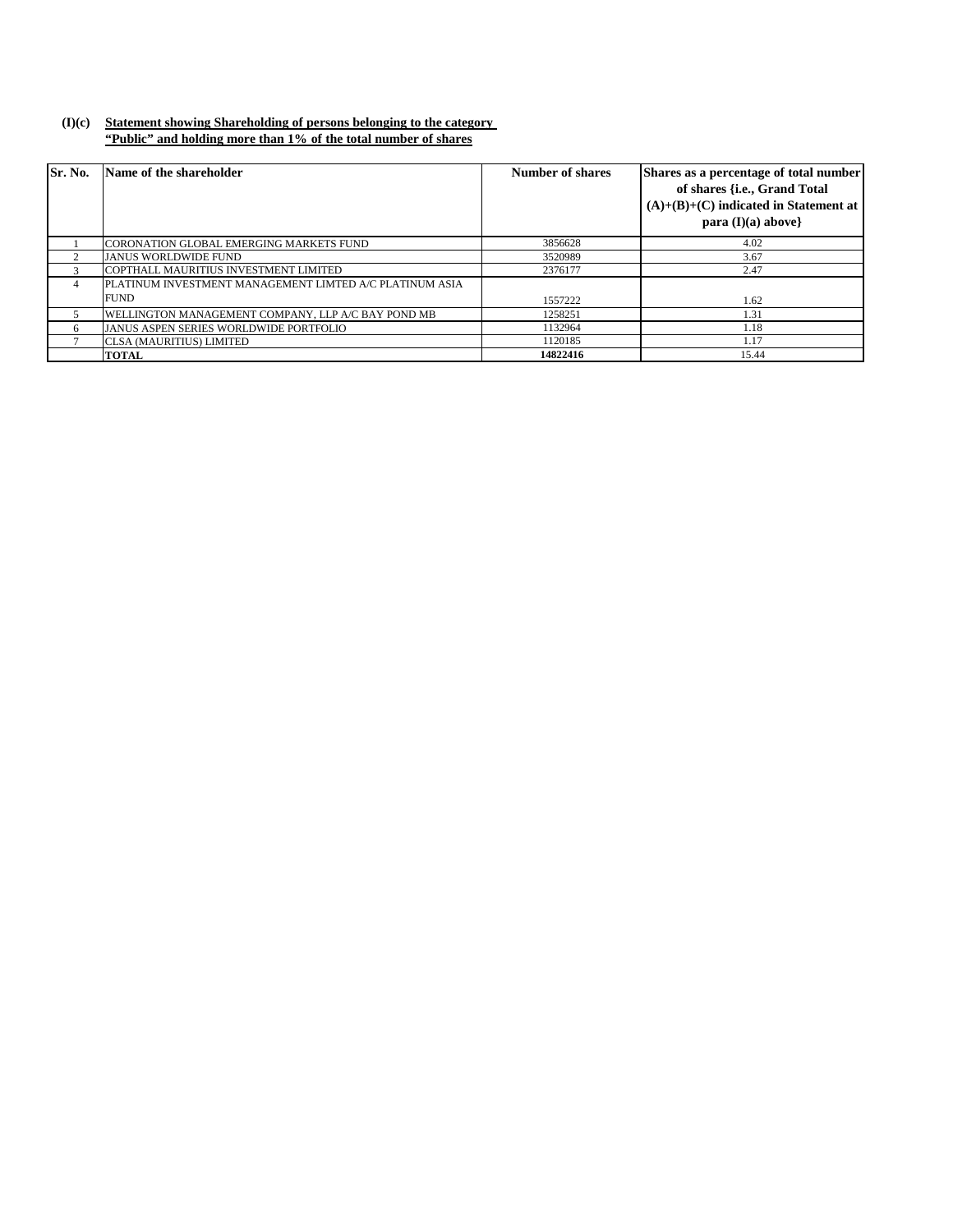### **(I)(c) Statement showing Shareholding of persons belonging to the category "Public" and holding more than 1% of the total number of shares**

| Sr. No.        | Name of the shareholder                                 | Number of shares | Shares as a percentage of total number<br>of shares {i.e., Grand Total<br>$(A)+(B)+(C)$ indicated in Statement at<br>para $(I)(a)$ above |
|----------------|---------------------------------------------------------|------------------|------------------------------------------------------------------------------------------------------------------------------------------|
|                | CORONATION GLOBAL EMERGING MARKETS FUND                 | 3856628          | 4.02                                                                                                                                     |
|                | <b>JANUS WORLDWIDE FUND</b>                             | 3520989          | 3.67                                                                                                                                     |
|                | COPTHALL MAURITIUS INVESTMENT LIMITED                   | 2376177          | 2.47                                                                                                                                     |
| $\overline{4}$ | PLATINUM INVESTMENT MANAGEMENT LIMTED A/C PLATINUM ASIA |                  |                                                                                                                                          |
|                | <b>FUND</b>                                             | 1557222          | 1.62                                                                                                                                     |
|                | WELLINGTON MANAGEMENT COMPANY, LLP A/C BAY POND MB      | 1258251          | 1.31                                                                                                                                     |
| 6              | <b>JANUS ASPEN SERIES WORLDWIDE PORTFOLIO</b>           | 1132964          | 1.18                                                                                                                                     |
|                | <b>CLSA (MAURITIUS) LIMITED</b>                         | 1120185          | 1.17                                                                                                                                     |
|                | <b>TOTAL</b>                                            | 14822416         | 15.44                                                                                                                                    |